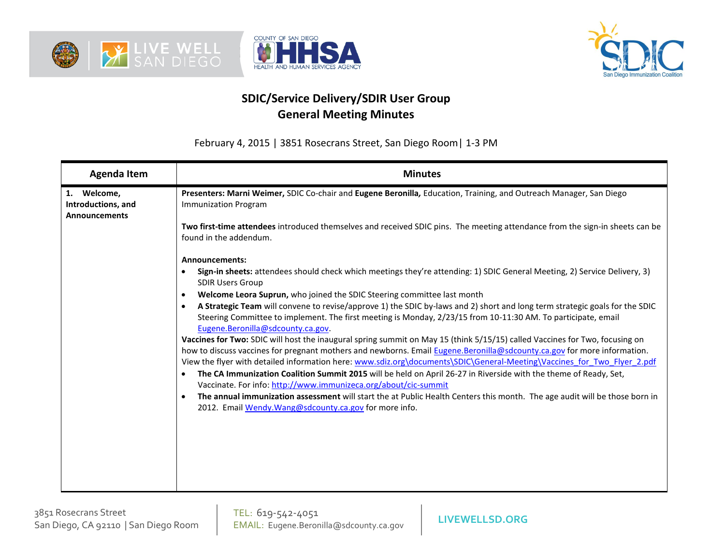





## **SDIC/Service Delivery/SDIR User Group General Meeting Minutes**

February 4, 2015 | 3851 Rosecrans Street, San Diego Room| 1-3 PM

| <b>Agenda Item</b>                                        | <b>Minutes</b>                                                                                                                                                                                                                                         |  |
|-----------------------------------------------------------|--------------------------------------------------------------------------------------------------------------------------------------------------------------------------------------------------------------------------------------------------------|--|
| 1. Welcome,<br>Introductions, and<br><b>Announcements</b> | Presenters: Marni Weimer, SDIC Co-chair and Eugene Beronilla, Education, Training, and Outreach Manager, San Diego<br><b>Immunization Program</b>                                                                                                      |  |
|                                                           | Two first-time attendees introduced themselves and received SDIC pins. The meeting attendance from the sign-in sheets can be<br>found in the addendum.                                                                                                 |  |
|                                                           | Announcements:                                                                                                                                                                                                                                         |  |
|                                                           | Sign-in sheets: attendees should check which meetings they're attending: 1) SDIC General Meeting, 2) Service Delivery, 3)<br><b>SDIR Users Group</b>                                                                                                   |  |
|                                                           | Welcome Leora Suprun, who joined the SDIC Steering committee last month                                                                                                                                                                                |  |
|                                                           | A Strategic Team will convene to revise/approve 1) the SDIC by-laws and 2) short and long term strategic goals for the SDIC<br>Steering Committee to implement. The first meeting is Monday, 2/23/15 from 10-11:30 AM. To participate, email           |  |
|                                                           | Eugene.Beronilla@sdcounty.ca.gov.                                                                                                                                                                                                                      |  |
|                                                           | Vaccines for Two: SDIC will host the inaugural spring summit on May 15 (think 5/15/15) called Vaccines for Two, focusing on<br>how to discuss vaccines for pregnant mothers and newborns. Email Eugene.Beronilla@sdcounty.ca.gov for more information. |  |
|                                                           | View the flyer with detailed information here: www.sdiz.org\documents\SDIC\General-Meeting\Vaccines for Two Flyer 2.pdf                                                                                                                                |  |
|                                                           | The CA Immunization Coalition Summit 2015 will be held on April 26-27 in Riverside with the theme of Ready, Set,<br>$\bullet$<br>Vaccinate. For info: http://www.immunizeca.org/about/cic-summit                                                       |  |
|                                                           | The annual immunization assessment will start the at Public Health Centers this month. The age audit will be those born in<br>2012. Email Wendy. Wang@sdcounty.ca.gov for more info.                                                                   |  |
|                                                           |                                                                                                                                                                                                                                                        |  |
|                                                           |                                                                                                                                                                                                                                                        |  |
|                                                           |                                                                                                                                                                                                                                                        |  |
|                                                           |                                                                                                                                                                                                                                                        |  |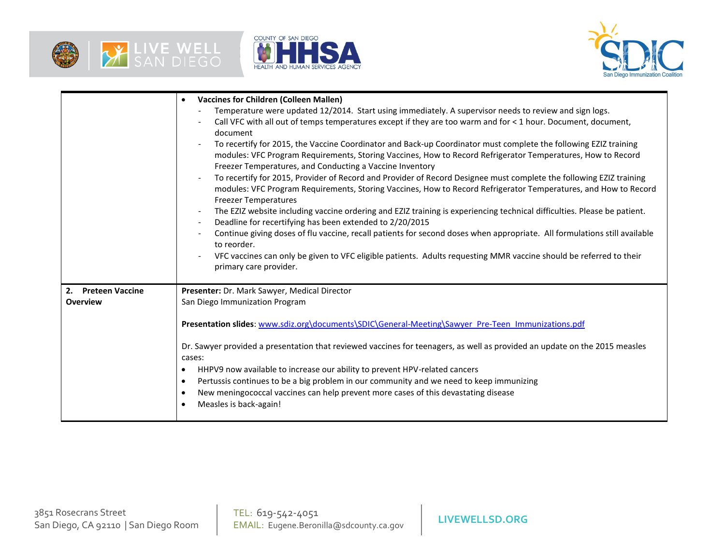





|                    | <b>Vaccines for Children (Colleen Mallen)</b><br>$\bullet$                                                                                                                                                                                                                                  |  |
|--------------------|---------------------------------------------------------------------------------------------------------------------------------------------------------------------------------------------------------------------------------------------------------------------------------------------|--|
|                    | Temperature were updated 12/2014. Start using immediately. A supervisor needs to review and sign logs.                                                                                                                                                                                      |  |
|                    | Call VFC with all out of temps temperatures except if they are too warm and for < 1 hour. Document, document,<br>document                                                                                                                                                                   |  |
|                    | To recertify for 2015, the Vaccine Coordinator and Back-up Coordinator must complete the following EZIZ training<br>modules: VFC Program Requirements, Storing Vaccines, How to Record Refrigerator Temperatures, How to Record<br>Freezer Temperatures, and Conducting a Vaccine Inventory |  |
|                    | To recertify for 2015, Provider of Record and Provider of Record Designee must complete the following EZIZ training<br>modules: VFC Program Requirements, Storing Vaccines, How to Record Refrigerator Temperatures, and How to Record<br><b>Freezer Temperatures</b>                       |  |
|                    | The EZIZ website including vaccine ordering and EZIZ training is experiencing technical difficulties. Please be patient.<br>Deadline for recertifying has been extended to 2/20/2015<br>$\overline{\phantom{a}}$                                                                            |  |
|                    | Continue giving doses of flu vaccine, recall patients for second doses when appropriate. All formulations still available<br>to reorder.                                                                                                                                                    |  |
|                    | VFC vaccines can only be given to VFC eligible patients. Adults requesting MMR vaccine should be referred to their<br>primary care provider.                                                                                                                                                |  |
| 2. Preteen Vaccine | Presenter: Dr. Mark Sawyer, Medical Director                                                                                                                                                                                                                                                |  |
| <b>Overview</b>    | San Diego Immunization Program                                                                                                                                                                                                                                                              |  |
|                    | Presentation slides: www.sdiz.org\documents\SDIC\General-Meeting\Sawyer_Pre-Teen_Immunizations.pdf                                                                                                                                                                                          |  |
|                    | Dr. Sawyer provided a presentation that reviewed vaccines for teenagers, as well as provided an update on the 2015 measles<br>cases:                                                                                                                                                        |  |
|                    | HHPV9 now available to increase our ability to prevent HPV-related cancers<br>$\bullet$                                                                                                                                                                                                     |  |
|                    | Pertussis continues to be a big problem in our community and we need to keep immunizing<br>$\bullet$                                                                                                                                                                                        |  |
|                    | New meningococcal vaccines can help prevent more cases of this devastating disease<br>٠<br>Measles is back-again!                                                                                                                                                                           |  |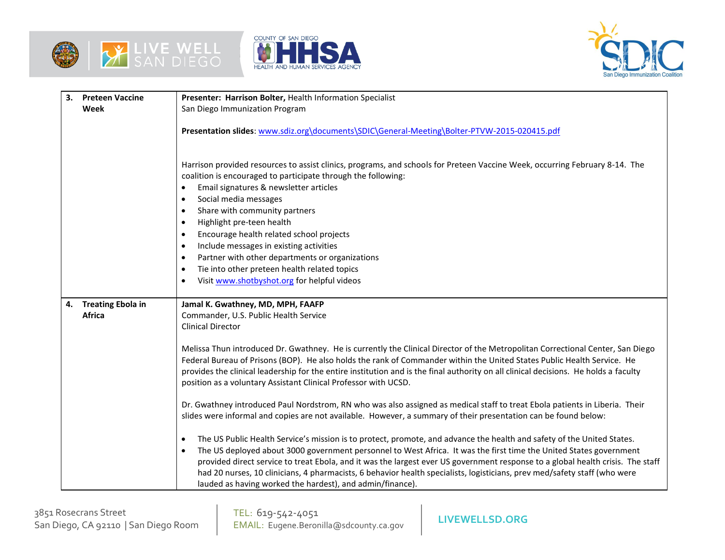





| 3. | <b>Preteen Vaccine</b> | Presenter: Harrison Bolter, Health Information Specialist                                                                                                                                                                                                                                                                                                                                                                                                                                                                                                                                                                               |  |
|----|------------------------|-----------------------------------------------------------------------------------------------------------------------------------------------------------------------------------------------------------------------------------------------------------------------------------------------------------------------------------------------------------------------------------------------------------------------------------------------------------------------------------------------------------------------------------------------------------------------------------------------------------------------------------------|--|
|    | Week                   | San Diego Immunization Program                                                                                                                                                                                                                                                                                                                                                                                                                                                                                                                                                                                                          |  |
|    |                        | Presentation slides: www.sdiz.org\documents\SDIC\General-Meeting\Bolter-PTVW-2015-020415.pdf                                                                                                                                                                                                                                                                                                                                                                                                                                                                                                                                            |  |
|    |                        | Harrison provided resources to assist clinics, programs, and schools for Preteen Vaccine Week, occurring February 8-14. The<br>coalition is encouraged to participate through the following:<br>Email signatures & newsletter articles<br>Social media messages<br>$\bullet$<br>Share with community partners<br>$\bullet$<br>Highlight pre-teen health<br>$\bullet$<br>Encourage health related school projects<br>Include messages in existing activities<br>$\bullet$<br>Partner with other departments or organizations<br>$\bullet$<br>Tie into other preteen health related topics<br>Visit www.shotbyshot.org for helpful videos |  |
|    | 4. Treating Ebola in   | Jamal K. Gwathney, MD, MPH, FAAFP                                                                                                                                                                                                                                                                                                                                                                                                                                                                                                                                                                                                       |  |
|    | <b>Africa</b>          | Commander, U.S. Public Health Service                                                                                                                                                                                                                                                                                                                                                                                                                                                                                                                                                                                                   |  |
|    |                        | <b>Clinical Director</b>                                                                                                                                                                                                                                                                                                                                                                                                                                                                                                                                                                                                                |  |
|    |                        | Melissa Thun introduced Dr. Gwathney. He is currently the Clinical Director of the Metropolitan Correctional Center, San Diego<br>Federal Bureau of Prisons (BOP). He also holds the rank of Commander within the United States Public Health Service. He<br>provides the clinical leadership for the entire institution and is the final authority on all clinical decisions. He holds a faculty<br>position as a voluntary Assistant Clinical Professor with UCSD.                                                                                                                                                                    |  |
|    |                        | Dr. Gwathney introduced Paul Nordstrom, RN who was also assigned as medical staff to treat Ebola patients in Liberia. Their<br>slides were informal and copies are not available. However, a summary of their presentation can be found below:                                                                                                                                                                                                                                                                                                                                                                                          |  |
|    |                        | The US Public Health Service's mission is to protect, promote, and advance the health and safety of the United States.<br>$\bullet$<br>The US deployed about 3000 government personnel to West Africa. It was the first time the United States government<br>provided direct service to treat Ebola, and it was the largest ever US government response to a global health crisis. The staff<br>had 20 nurses, 10 clinicians, 4 pharmacists, 6 behavior health specialists, logisticians, prev med/safety staff (who were<br>lauded as having worked the hardest), and admin/finance).                                                  |  |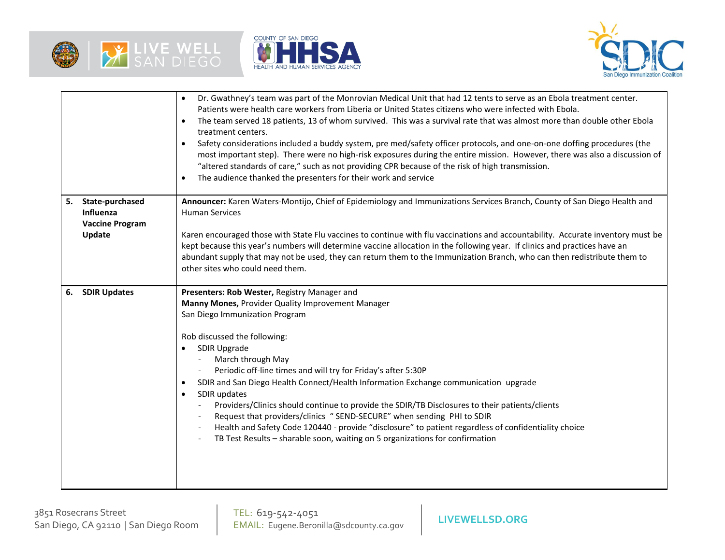





|    |                                                                  | Dr. Gwathney's team was part of the Monrovian Medical Unit that had 12 tents to serve as an Ebola treatment center.<br>Patients were health care workers from Liberia or United States citizens who were infected with Ebola.<br>The team served 18 patients, 13 of whom survived. This was a survival rate that was almost more than double other Ebola<br>$\bullet$<br>treatment centers.<br>Safety considerations included a buddy system, pre med/safety officer protocols, and one-on-one doffing procedures (the<br>$\bullet$<br>most important step). There were no high-risk exposures during the entire mission. However, there was also a discussion of<br>"altered standards of care," such as not providing CPR because of the risk of high transmission.<br>The audience thanked the presenters for their work and service |  |
|----|------------------------------------------------------------------|-----------------------------------------------------------------------------------------------------------------------------------------------------------------------------------------------------------------------------------------------------------------------------------------------------------------------------------------------------------------------------------------------------------------------------------------------------------------------------------------------------------------------------------------------------------------------------------------------------------------------------------------------------------------------------------------------------------------------------------------------------------------------------------------------------------------------------------------|--|
| 5. | State-purchased<br>Influenza<br><b>Vaccine Program</b><br>Update | Announcer: Karen Waters-Montijo, Chief of Epidemiology and Immunizations Services Branch, County of San Diego Health and<br><b>Human Services</b><br>Karen encouraged those with State Flu vaccines to continue with flu vaccinations and accountability. Accurate inventory must be<br>kept because this year's numbers will determine vaccine allocation in the following year. If clinics and practices have an<br>abundant supply that may not be used, they can return them to the Immunization Branch, who can then redistribute them to<br>other sites who could need them.                                                                                                                                                                                                                                                      |  |
| 6. | <b>SDIR Updates</b>                                              | Presenters: Rob Wester, Registry Manager and<br>Manny Mones, Provider Quality Improvement Manager<br>San Diego Immunization Program<br>Rob discussed the following:<br>SDIR Upgrade<br>March through May<br>Periodic off-line times and will try for Friday's after 5:30P<br>SDIR and San Diego Health Connect/Health Information Exchange communication upgrade<br>$\bullet$<br>SDIR updates<br>$\bullet$<br>Providers/Clinics should continue to provide the SDIR/TB Disclosures to their patients/clients<br>Request that providers/clinics "SEND-SECURE" when sending PHI to SDIR<br>Health and Safety Code 120440 - provide "disclosure" to patient regardless of confidentiality choice<br>TB Test Results - sharable soon, waiting on 5 organizations for confirmation                                                           |  |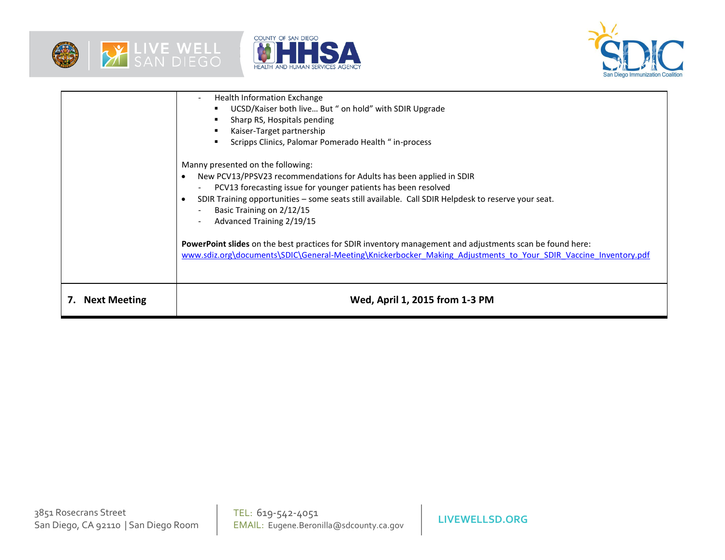





|                     | Health Information Exchange<br>UCSD/Kaiser both live But " on hold" with SDIR Upgrade<br>Sharp RS, Hospitals pending<br>Kaiser-Target partnership<br>Scripps Clinics, Palomar Pomerado Health " in-process<br>Manny presented on the following:<br>New PCV13/PPSV23 recommendations for Adults has been applied in SDIR<br>PCV13 forecasting issue for younger patients has been resolved<br>$\overline{\phantom{a}}$<br>SDIR Training opportunities - some seats still available. Call SDIR Helpdesk to reserve your seat. |
|---------------------|-----------------------------------------------------------------------------------------------------------------------------------------------------------------------------------------------------------------------------------------------------------------------------------------------------------------------------------------------------------------------------------------------------------------------------------------------------------------------------------------------------------------------------|
|                     | Basic Training on 2/12/15<br>Advanced Training 2/19/15<br>PowerPoint slides on the best practices for SDIR inventory management and adjustments scan be found here:<br>www.sdiz.org\documents\SDIC\General-Meeting\Knickerbocker Making Adjustments to Your SDIR Vaccine Inventory.pdf                                                                                                                                                                                                                                      |
| <b>Next Meeting</b> | Wed, April 1, 2015 from 1-3 PM                                                                                                                                                                                                                                                                                                                                                                                                                                                                                              |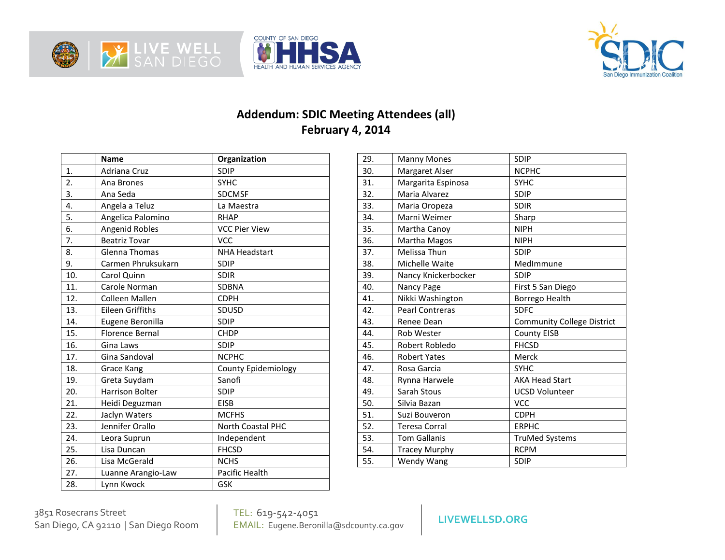





## **Addendum: SDIC Meeting Attendees (all) February 4, 2014**

|                  | <b>Name</b>            | Organization               |
|------------------|------------------------|----------------------------|
| 1.               | Adriana Cruz           | <b>SDIP</b>                |
| $\overline{2}$ . | Ana Brones             | <b>SYHC</b>                |
| 3.               | Ana Seda               | <b>SDCMSF</b>              |
| 4.               | Angela a Teluz         | La Maestra                 |
| 5.               | Angelica Palomino      | <b>RHAP</b>                |
| 6.               | Angenid Robles         | <b>VCC Pier View</b>       |
| 7.               | <b>Beatriz Tovar</b>   | <b>VCC</b>                 |
| 8.               | Glenna Thomas          | <b>NHA Headstart</b>       |
| 9.               | Carmen Phruksukarn     | SDIP                       |
| 10.              | Carol Quinn            | <b>SDIR</b>                |
| 11.              | Carole Norman          | SDBNA                      |
| 12.              | <b>Colleen Mallen</b>  | <b>CDPH</b>                |
| 13.              | Eileen Griffiths       | <b>SDUSD</b>               |
| 14.              | Eugene Beronilla       | <b>SDIP</b>                |
| 15.              | <b>Florence Bernal</b> | <b>CHDP</b>                |
| 16.              | Gina Laws              | SDIP                       |
| 17.              | Gina Sandoval          | <b>NCPHC</b>               |
| 18.              | <b>Grace Kang</b>      | <b>County Epidemiology</b> |
| 19.              | Greta Suydam           | Sanofi                     |
| 20.              | <b>Harrison Bolter</b> | <b>SDIP</b>                |
| 21.              | Heidi Deguzman         | <b>EISB</b>                |
| 22.              | Jaclyn Waters          | <b>MCFHS</b>               |
| 23.              | Jennifer Orallo        | North Coastal PHC          |
| 24.              | Leora Suprun           | Independent                |
| 25.              | Lisa Duncan            | <b>FHCSD</b>               |
| 26.              | Lisa McGerald          | <b>NCHS</b>                |
| 27.              | Luanne Arangio-Law     | Pacific Health             |
| 28.              | Lynn Kwock             | GSK                        |

| 29. | <b>Manny Mones</b>   | <b>SDIP</b>                       |
|-----|----------------------|-----------------------------------|
| 30. | Margaret Alser       | <b>NCPHC</b>                      |
| 31. | Margarita Espinosa   | <b>SYHC</b>                       |
| 32. | Maria Alvarez        | <b>SDIP</b>                       |
| 33. | Maria Oropeza        | <b>SDIR</b>                       |
| 34. | Marni Weimer         | Sharp                             |
| 35. | Martha Canoy         | <b>NIPH</b>                       |
| 36. | Martha Magos         | <b>NIPH</b>                       |
| 37. | Melissa Thun         | <b>SDIP</b>                       |
| 38. | Michelle Waite       | MedImmune                         |
| 39. | Nancy Knickerbocker  | <b>SDIP</b>                       |
| 40. | Nancy Page           | First 5 San Diego                 |
| 41. | Nikki Washington     | Borrego Health                    |
| 42. | Pearl Contreras      | <b>SDFC</b>                       |
| 43. | Renee Dean           | <b>Community College District</b> |
| 44. | <b>Rob Wester</b>    | <b>County EISB</b>                |
| 45. | Robert Robledo       | <b>FHCSD</b>                      |
| 46. | <b>Robert Yates</b>  | Merck                             |
| 47. | Rosa Garcia          | <b>SYHC</b>                       |
| 48. | Rynna Harwele        | <b>AKA Head Start</b>             |
| 49. | Sarah Stous          | <b>UCSD Volunteer</b>             |
| 50. | Silvia Bazan         | <b>VCC</b>                        |
| 51. | Suzi Bouveron        | <b>CDPH</b>                       |
| 52. | <b>Teresa Corral</b> | <b>ERPHC</b>                      |
| 53. | <b>Tom Gallanis</b>  | <b>TruMed Systems</b>             |
| 54. | <b>Tracey Murphy</b> | <b>RCPM</b>                       |
| 55. | Wendy Wang           | <b>SDIP</b>                       |

3851 Rosecrans Street<br>San Diego, CA 92110 | San Diego Room

TEL: 619-542-4051 EMAIL: Eugene.Beronilla@sdcounty.ca.gov San Diego, CA 92110 | San Diego Room **LIVEWELLSD.ORG**